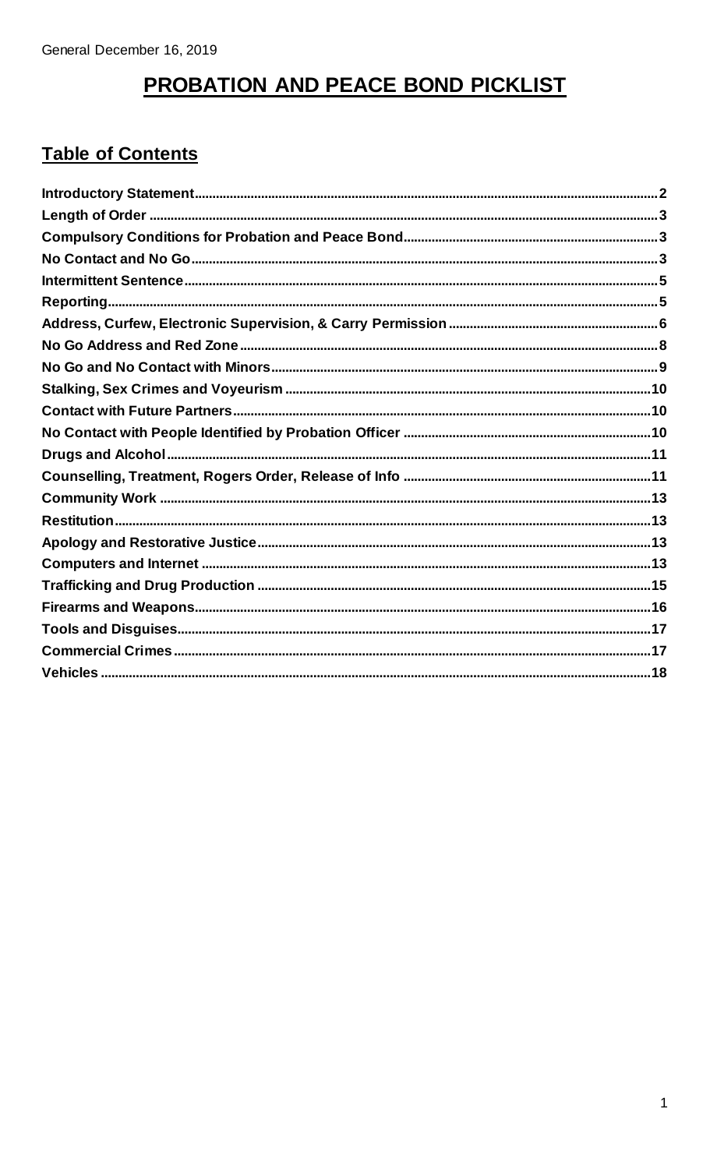# PROBATION AND PEACE BOND PICKLIST

#### **Table of Contents**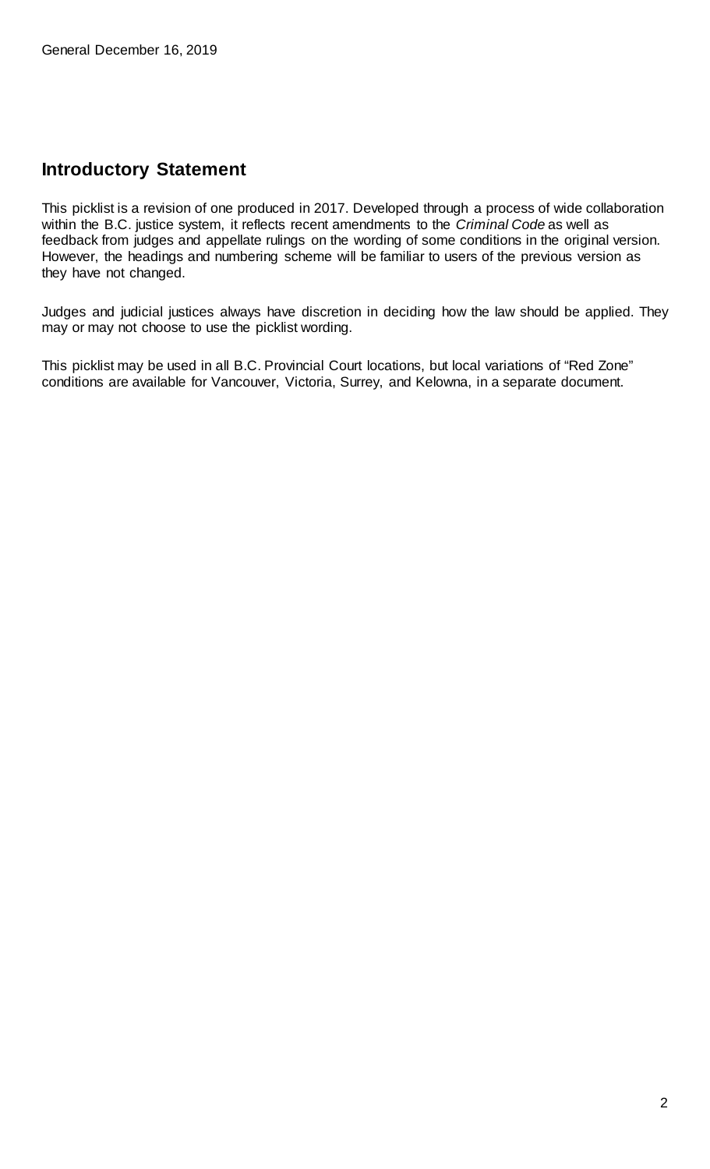#### <span id="page-1-0"></span>**Introductory Statement**

This picklist is a revision of one produced in 2017. Developed through a process of wide collaboration within the B.C. justice system, it reflects recent amendments to the *Criminal Code* as well as feedback from judges and appellate rulings on the wording of some conditions in the original version. However, the headings and numbering scheme will be familiar to users of the previous version as they have not changed.

Judges and judicial justices always have discretion in deciding how the law should be applied. They may or may not choose to use the picklist wording.

This picklist may be used in all B.C. Provincial Court locations, but local variations of "Red Zone" conditions are available for Vancouver, Victoria, Surrey, and Kelowna, in a separate document.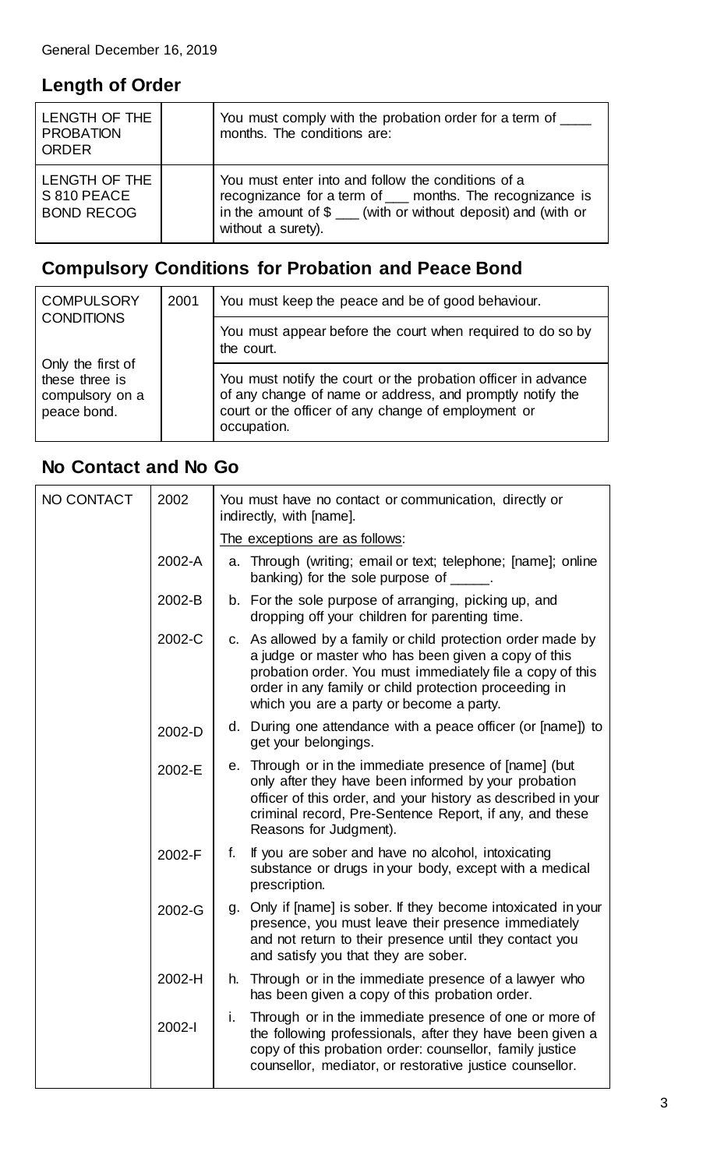#### <span id="page-2-0"></span>**Length of Order**

| LENGTH OF THE<br><b>PROBATION</b><br><b>ORDER</b> | You must comply with the probation order for a term of<br>months. The conditions are:                                                                                                                           |
|---------------------------------------------------|-----------------------------------------------------------------------------------------------------------------------------------------------------------------------------------------------------------------|
| LENGTH OF THE<br>S 810 PEACE<br><b>BOND RECOG</b> | You must enter into and follow the conditions of a<br>recognizance for a term of ___ months. The recognizance is<br>in the amount of $\frac{1}{2}$ (with or without deposit) and (with or<br>without a surety). |

# <span id="page-2-1"></span>**Compulsory Conditions for Probation and Peace Bond**

| <b>COMPULSORY</b><br><b>CONDITIONS</b>                                | 2001 | You must keep the peace and be of good behaviour.                                                                                                                                                |
|-----------------------------------------------------------------------|------|--------------------------------------------------------------------------------------------------------------------------------------------------------------------------------------------------|
|                                                                       |      | You must appear before the court when required to do so by<br>the court.                                                                                                                         |
| Only the first of<br>these three is<br>compulsory on a<br>peace bond. |      | You must notify the court or the probation officer in advance<br>of any change of name or address, and promptly notify the<br>court or the officer of any change of employment or<br>occupation. |

#### <span id="page-2-2"></span>**No Contact and No Go**

| NO CONTACT | 2002   |    | You must have no contact or communication, directly or<br>indirectly, with [name].                                                                                                                                                                                                   |
|------------|--------|----|--------------------------------------------------------------------------------------------------------------------------------------------------------------------------------------------------------------------------------------------------------------------------------------|
|            |        |    | The exceptions are as follows:                                                                                                                                                                                                                                                       |
|            | 2002-A |    | a. Through (writing; email or text; telephone; [name]; online<br>banking) for the sole purpose of                                                                                                                                                                                    |
|            | 2002-B |    | b. For the sole purpose of arranging, picking up, and<br>dropping off your children for parenting time.                                                                                                                                                                              |
|            | 2002-C |    | c. As allowed by a family or child protection order made by<br>a judge or master who has been given a copy of this<br>probation order. You must immediately file a copy of this<br>order in any family or child protection proceeding in<br>which you are a party or become a party. |
|            | 2002-D |    | d. During one attendance with a peace officer (or [name]) to<br>get your belongings.                                                                                                                                                                                                 |
|            | 2002-E |    | e. Through or in the immediate presence of [name] (but<br>only after they have been informed by your probation<br>officer of this order, and your history as described in your<br>criminal record, Pre-Sentence Report, if any, and these<br>Reasons for Judgment).                  |
|            | 2002-F | f. | If you are sober and have no alcohol, intoxicating<br>substance or drugs in your body, except with a medical<br>prescription.                                                                                                                                                        |
|            | 2002-G |    | g. Only if [name] is sober. If they become intoxicated in your<br>presence, you must leave their presence immediately<br>and not return to their presence until they contact you<br>and satisfy you that they are sober.                                                             |
|            | 2002-H |    | h. Through or in the immediate presence of a lawyer who<br>has been given a copy of this probation order.                                                                                                                                                                            |
|            | 2002-l | i. | Through or in the immediate presence of one or more of<br>the following professionals, after they have been given a<br>copy of this probation order: counsellor, family justice<br>counsellor, mediator, or restorative justice counsellor.                                          |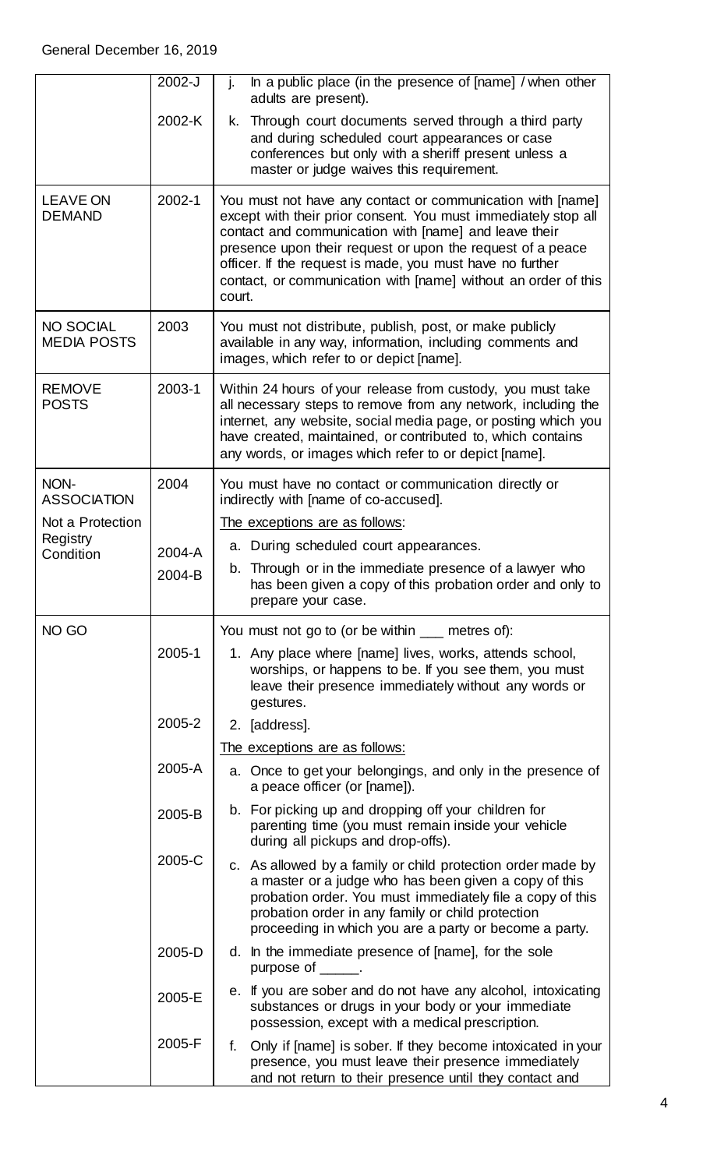|                                        | 2002-J | In a public place (in the presence of [name] / when other<br>j.<br>adults are present).                                                                                                                                                                                                                                                                                                      |
|----------------------------------------|--------|----------------------------------------------------------------------------------------------------------------------------------------------------------------------------------------------------------------------------------------------------------------------------------------------------------------------------------------------------------------------------------------------|
|                                        | 2002-K | Through court documents served through a third party<br>k.<br>and during scheduled court appearances or case<br>conferences but only with a sheriff present unless a<br>master or judge waives this requirement.                                                                                                                                                                             |
| <b>LEAVE ON</b><br><b>DEMAND</b>       | 2002-1 | You must not have any contact or communication with [name]<br>except with their prior consent. You must immediately stop all<br>contact and communication with [name] and leave their<br>presence upon their request or upon the request of a peace<br>officer. If the request is made, you must have no further<br>contact, or communication with [name] without an order of this<br>court. |
| <b>NO SOCIAL</b><br><b>MEDIA POSTS</b> | 2003   | You must not distribute, publish, post, or make publicly<br>available in any way, information, including comments and<br>images, which refer to or depict [name].                                                                                                                                                                                                                            |
| <b>REMOVE</b><br><b>POSTS</b>          | 2003-1 | Within 24 hours of your release from custody, you must take<br>all necessary steps to remove from any network, including the<br>internet, any website, social media page, or posting which you<br>have created, maintained, or contributed to, which contains<br>any words, or images which refer to or depict [name].                                                                       |
| NON-<br><b>ASSOCIATION</b>             | 2004   | You must have no contact or communication directly or<br>indirectly with [name of co-accused].                                                                                                                                                                                                                                                                                               |
| Not a Protection                       |        | The exceptions are as follows:                                                                                                                                                                                                                                                                                                                                                               |
| Registry<br>Condition                  | 2004-A | a. During scheduled court appearances.                                                                                                                                                                                                                                                                                                                                                       |
|                                        | 2004-B | b. Through or in the immediate presence of a lawyer who<br>has been given a copy of this probation order and only to<br>prepare your case.                                                                                                                                                                                                                                                   |
| NO GO                                  |        | You must not go to (or be within ___ metres of):                                                                                                                                                                                                                                                                                                                                             |
|                                        | 2005-1 | 1. Any place where [name] lives, works, attends school,<br>worships, or happens to be. If you see them, you must<br>leave their presence immediately without any words or<br>gestures.                                                                                                                                                                                                       |
|                                        | 2005-2 | 2. [address].                                                                                                                                                                                                                                                                                                                                                                                |
|                                        |        | The exceptions are as follows:                                                                                                                                                                                                                                                                                                                                                               |
|                                        | 2005-A | a. Once to get your belongings, and only in the presence of<br>a peace officer (or [name]).                                                                                                                                                                                                                                                                                                  |
|                                        | 2005-B | b. For picking up and dropping off your children for<br>parenting time (you must remain inside your vehicle<br>during all pickups and drop-offs).                                                                                                                                                                                                                                            |
|                                        | 2005-C | c. As allowed by a family or child protection order made by<br>a master or a judge who has been given a copy of this<br>probation order. You must immediately file a copy of this<br>probation order in any family or child protection<br>proceeding in which you are a party or become a party.                                                                                             |
|                                        | 2005-D | d. In the immediate presence of [name], for the sole<br>purpose of ______.                                                                                                                                                                                                                                                                                                                   |
|                                        | 2005-E | e. If you are sober and do not have any alcohol, intoxicating<br>substances or drugs in your body or your immediate<br>possession, except with a medical prescription.                                                                                                                                                                                                                       |
|                                        | 2005-F | Only if [name] is sober. If they become intoxicated in your<br>f.<br>presence, you must leave their presence immediately<br>and not return to their presence until they contact and                                                                                                                                                                                                          |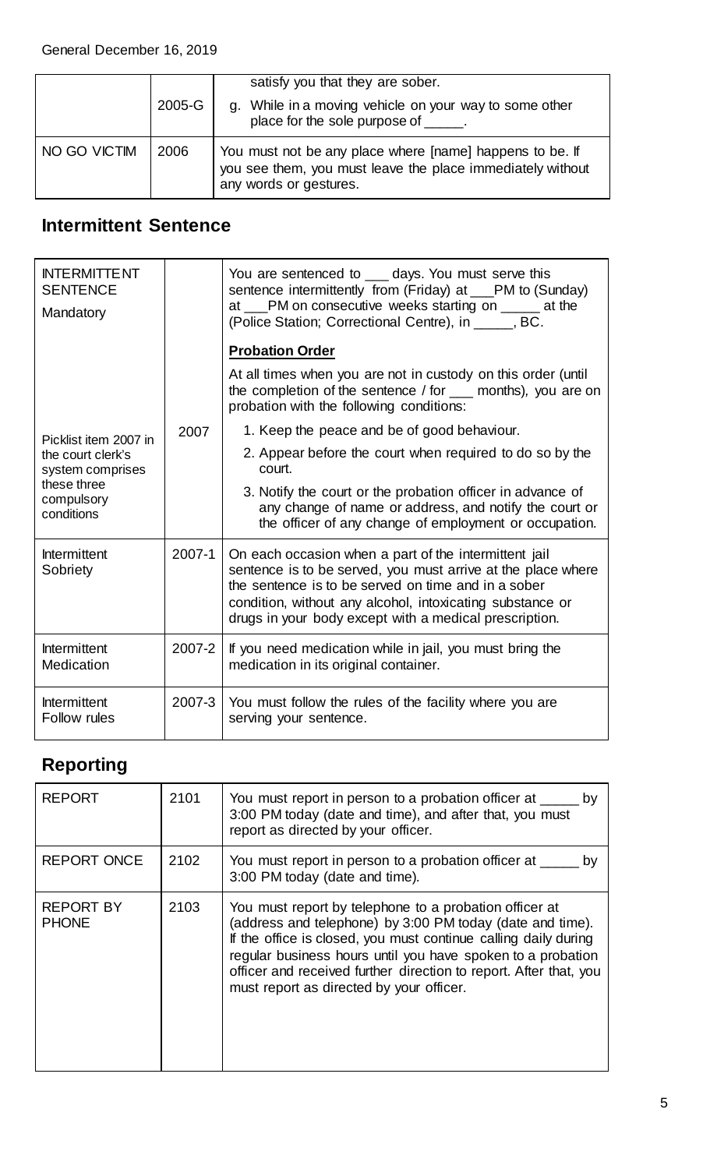|              | $2005 - G$ | satisfy you that they are sober.<br>g. While in a moving vehicle on your way to some other<br>place for the sole purpose of ______.              |
|--------------|------------|--------------------------------------------------------------------------------------------------------------------------------------------------|
| NO GO VICTIM | 2006       | You must not be any place where [name] happens to be. If<br>you see them, you must leave the place immediately without<br>any words or gestures. |

### **Intermittent Sentence**

| <b>INTERMITTENT</b><br><b>SENTENCE</b><br>Mandatory                              |        | You are sentenced to ____ days. You must serve this<br>sentence intermittently from (Friday) at ___PM to (Sunday)<br>at ___PM on consecutive weeks starting on _____ at the<br>(Police Station; Correctional Centre), in _____, BC.                                                                 |
|----------------------------------------------------------------------------------|--------|-----------------------------------------------------------------------------------------------------------------------------------------------------------------------------------------------------------------------------------------------------------------------------------------------------|
|                                                                                  |        | <b>Probation Order</b>                                                                                                                                                                                                                                                                              |
|                                                                                  |        | At all times when you are not in custody on this order (until<br>the completion of the sentence / for ___ months), you are on<br>probation with the following conditions:                                                                                                                           |
| Picklist item 2007 in                                                            | 2007   | 1. Keep the peace and be of good behaviour.                                                                                                                                                                                                                                                         |
| the court clerk's<br>system comprises<br>these three<br>compulsory<br>conditions |        | 2. Appear before the court when required to do so by the<br>court.                                                                                                                                                                                                                                  |
|                                                                                  |        | 3. Notify the court or the probation officer in advance of<br>any change of name or address, and notify the court or<br>the officer of any change of employment or occupation.                                                                                                                      |
| Intermittent<br>Sobriety                                                         | 2007-1 | On each occasion when a part of the intermittent jail<br>sentence is to be served, you must arrive at the place where<br>the sentence is to be served on time and in a sober<br>condition, without any alcohol, intoxicating substance or<br>drugs in your body except with a medical prescription. |
| Intermittent<br>Medication                                                       | 2007-2 | If you need medication while in jail, you must bring the<br>medication in its original container.                                                                                                                                                                                                   |
| <b>Intermittent</b><br>Follow rules                                              | 2007-3 | You must follow the rules of the facility where you are<br>serving your sentence.                                                                                                                                                                                                                   |

# <span id="page-4-0"></span>**Reporting**

| <b>REPORT</b>                    | 2101 | You must report in person to a probation officer at __<br>by<br>3:00 PM today (date and time), and after that, you must<br>report as directed by your officer.                                                                                                                                                                                                         |
|----------------------------------|------|------------------------------------------------------------------------------------------------------------------------------------------------------------------------------------------------------------------------------------------------------------------------------------------------------------------------------------------------------------------------|
| <b>REPORT ONCE</b>               | 2102 | You must report in person to a probation officer at _<br>bv<br>3:00 PM today (date and time).                                                                                                                                                                                                                                                                          |
| <b>REPORT BY</b><br><b>PHONE</b> | 2103 | You must report by telephone to a probation officer at<br>(address and telephone) by 3:00 PM today (date and time).<br>If the office is closed, you must continue calling daily during<br>regular business hours until you have spoken to a probation<br>officer and received further direction to report. After that, you<br>must report as directed by your officer. |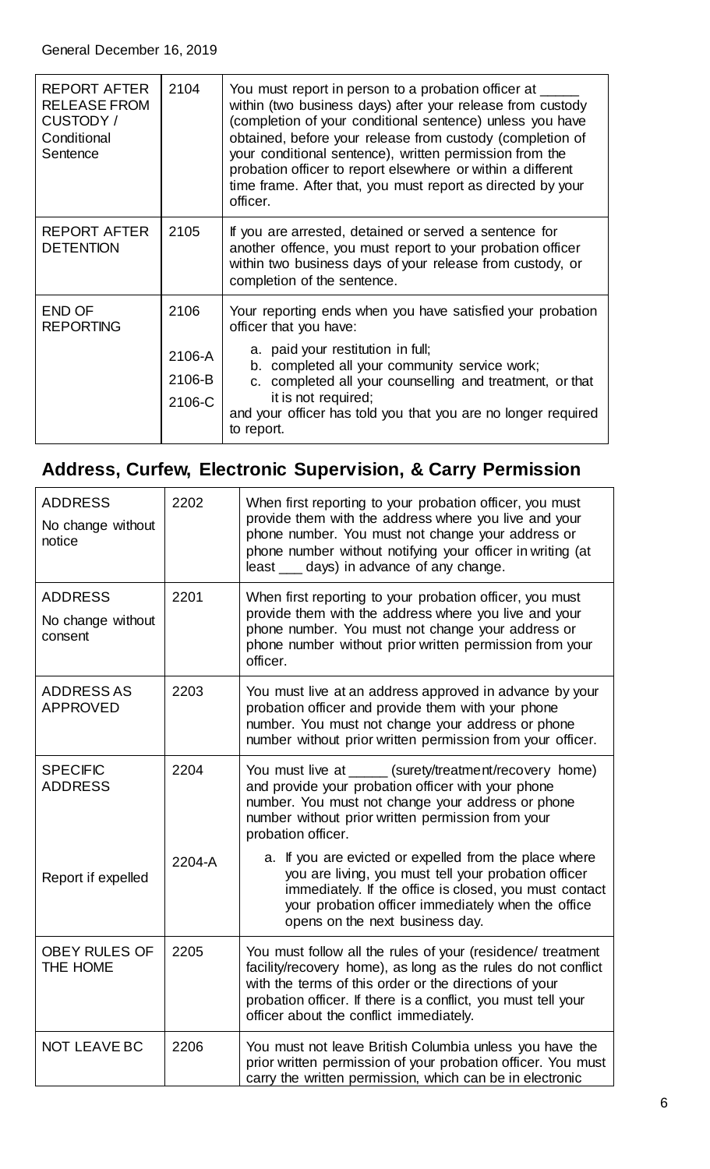| <b>REPORT AFTER</b><br><b>RELEASE FROM</b><br>CUSTODY /<br>Conditional<br>Sentence | 2104                               | You must report in person to a probation officer at<br>within (two business days) after your release from custody<br>(completion of your conditional sentence) unless you have<br>obtained, before your release from custody (completion of<br>your conditional sentence), written permission from the<br>probation officer to report elsewhere or within a different<br>time frame. After that, you must report as directed by your<br>officer. |
|------------------------------------------------------------------------------------|------------------------------------|--------------------------------------------------------------------------------------------------------------------------------------------------------------------------------------------------------------------------------------------------------------------------------------------------------------------------------------------------------------------------------------------------------------------------------------------------|
| <b>REPORT AFTER</b><br><b>DETENTION</b>                                            | 2105                               | If you are arrested, detained or served a sentence for<br>another offence, you must report to your probation officer<br>within two business days of your release from custody, or<br>completion of the sentence.                                                                                                                                                                                                                                 |
| <b>END OF</b><br><b>REPORTING</b>                                                  | 2106<br>2106-A<br>2106-B<br>2106-C | Your reporting ends when you have satisfied your probation<br>officer that you have:<br>a. paid your restitution in full;<br>b. completed all your community service work;<br>c. completed all your counselling and treatment, or that<br>it is not required;<br>and your officer has told you that you are no longer required<br>to report.                                                                                                     |

# <span id="page-5-0"></span>**Address, Curfew, Electronic Supervision, & Carry Permission**

| <b>ADDRESS</b><br>No change without<br>notice | 2202   | When first reporting to your probation officer, you must<br>provide them with the address where you live and your<br>phone number. You must not change your address or<br>phone number without notifying your officer in writing (at<br>least ___ days) in advance of any change.                  |
|-----------------------------------------------|--------|----------------------------------------------------------------------------------------------------------------------------------------------------------------------------------------------------------------------------------------------------------------------------------------------------|
| <b>ADDRESS</b>                                | 2201   | When first reporting to your probation officer, you must                                                                                                                                                                                                                                           |
| No change without<br>consent                  |        | provide them with the address where you live and your<br>phone number. You must not change your address or<br>phone number without prior written permission from your<br>officer.                                                                                                                  |
| <b>ADDRESS AS</b><br><b>APPROVED</b>          | 2203   | You must live at an address approved in advance by your<br>probation officer and provide them with your phone<br>number. You must not change your address or phone<br>number without prior written permission from your officer.                                                                   |
| <b>SPECIFIC</b><br><b>ADDRESS</b>             | 2204   | You must live at _____ (surety/treatment/recovery home)<br>and provide your probation officer with your phone<br>number. You must not change your address or phone<br>number without prior written permission from your<br>probation officer.                                                      |
| Report if expelled                            | 2204-A | a. If you are evicted or expelled from the place where<br>you are living, you must tell your probation officer<br>immediately. If the office is closed, you must contact<br>your probation officer immediately when the office<br>opens on the next business day.                                  |
| <b>OBEY RULES OF</b><br>THE HOME              | 2205   | You must follow all the rules of your (residence/ treatment<br>facility/recovery home), as long as the rules do not conflict<br>with the terms of this order or the directions of your<br>probation officer. If there is a conflict, you must tell your<br>officer about the conflict immediately. |
| <b>NOT LEAVE BC</b>                           | 2206   | You must not leave British Columbia unless you have the<br>prior written permission of your probation officer. You must<br>carry the written permission, which can be in electronic                                                                                                                |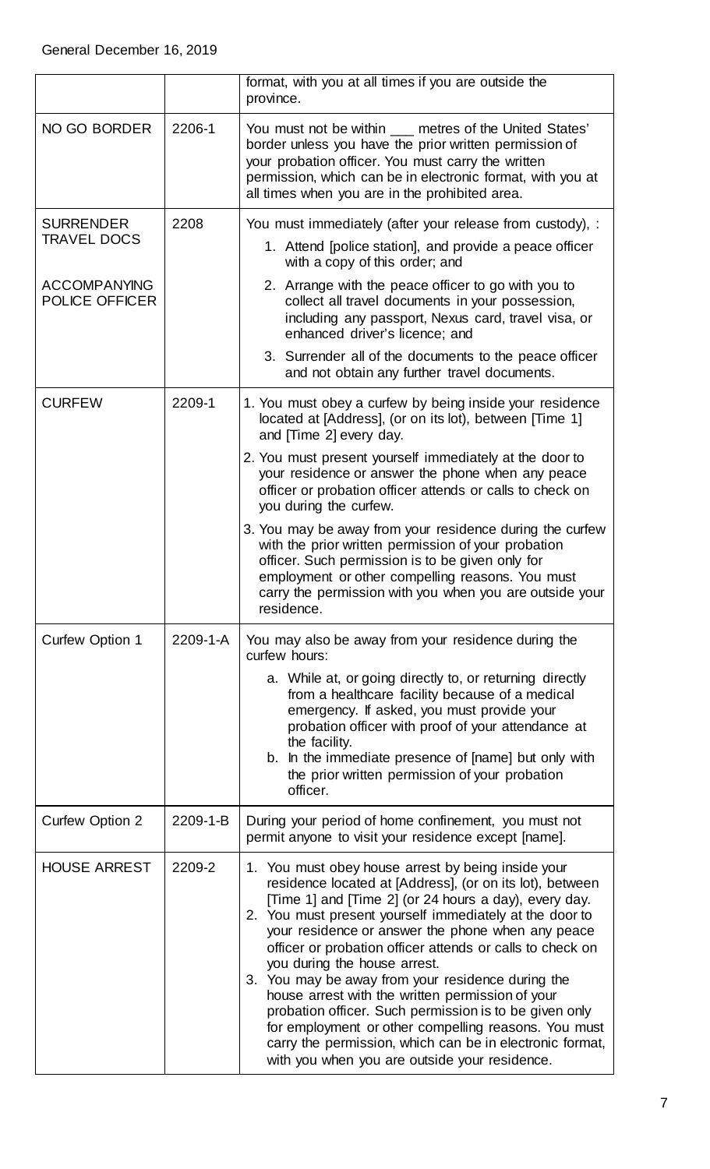|                                        |                | format, with you at all times if you are outside the<br>province.                                                                                                                                                                                                                                                                                                                                                                                                                                                                                                                                                                                                                                                            |
|----------------------------------------|----------------|------------------------------------------------------------------------------------------------------------------------------------------------------------------------------------------------------------------------------------------------------------------------------------------------------------------------------------------------------------------------------------------------------------------------------------------------------------------------------------------------------------------------------------------------------------------------------------------------------------------------------------------------------------------------------------------------------------------------------|
| NO GO BORDER                           | 2206-1         | You must not be within ___ metres of the United States'<br>border unless you have the prior written permission of<br>your probation officer. You must carry the written<br>permission, which can be in electronic format, with you at<br>all times when you are in the prohibited area.                                                                                                                                                                                                                                                                                                                                                                                                                                      |
| <b>SURRENDER</b><br><b>TRAVEL DOCS</b> | 2208           | You must immediately (after your release from custody), :<br>1. Attend [police station], and provide a peace officer<br>with a copy of this order; and                                                                                                                                                                                                                                                                                                                                                                                                                                                                                                                                                                       |
| <b>ACCOMPANYING</b><br>POLICE OFFICER  |                | 2. Arrange with the peace officer to go with you to<br>collect all travel documents in your possession,<br>including any passport, Nexus card, travel visa, or<br>enhanced driver's licence; and                                                                                                                                                                                                                                                                                                                                                                                                                                                                                                                             |
|                                        |                | 3. Surrender all of the documents to the peace officer<br>and not obtain any further travel documents.                                                                                                                                                                                                                                                                                                                                                                                                                                                                                                                                                                                                                       |
| <b>CURFEW</b>                          | 2209-1         | 1. You must obey a curfew by being inside your residence<br>located at [Address], (or on its lot), between [Time 1]<br>and [Time 2] every day.                                                                                                                                                                                                                                                                                                                                                                                                                                                                                                                                                                               |
|                                        |                | 2. You must present yourself immediately at the door to<br>your residence or answer the phone when any peace<br>officer or probation officer attends or calls to check on<br>you during the curfew.                                                                                                                                                                                                                                                                                                                                                                                                                                                                                                                          |
|                                        |                | 3. You may be away from your residence during the curfew<br>with the prior written permission of your probation<br>officer. Such permission is to be given only for<br>employment or other compelling reasons. You must<br>carry the permission with you when you are outside your<br>residence.                                                                                                                                                                                                                                                                                                                                                                                                                             |
| <b>Curfew Option 1</b>                 | $2209 - 1 - A$ | You may also be away from your residence during the<br>curfew hours:<br>a. While at, or going directly to, or returning directly<br>from a healthcare facility because of a medical<br>emergency. If asked, you must provide your<br>probation officer with proof of your attendance at<br>the facility.<br>b. In the immediate presence of [name] but only with<br>the prior written permission of your probation<br>officer.                                                                                                                                                                                                                                                                                               |
| <b>Curfew Option 2</b>                 | 2209-1-B       | During your period of home confinement, you must not<br>permit anyone to visit your residence except [name].                                                                                                                                                                                                                                                                                                                                                                                                                                                                                                                                                                                                                 |
| <b>HOUSE ARREST</b>                    | 2209-2         | 1. You must obey house arrest by being inside your<br>residence located at [Address], (or on its lot), between<br>[Time 1] and [Time 2] (or 24 hours a day), every day.<br>2. You must present yourself immediately at the door to<br>your residence or answer the phone when any peace<br>officer or probation officer attends or calls to check on<br>you during the house arrest.<br>3. You may be away from your residence during the<br>house arrest with the written permission of your<br>probation officer. Such permission is to be given only<br>for employment or other compelling reasons. You must<br>carry the permission, which can be in electronic format,<br>with you when you are outside your residence. |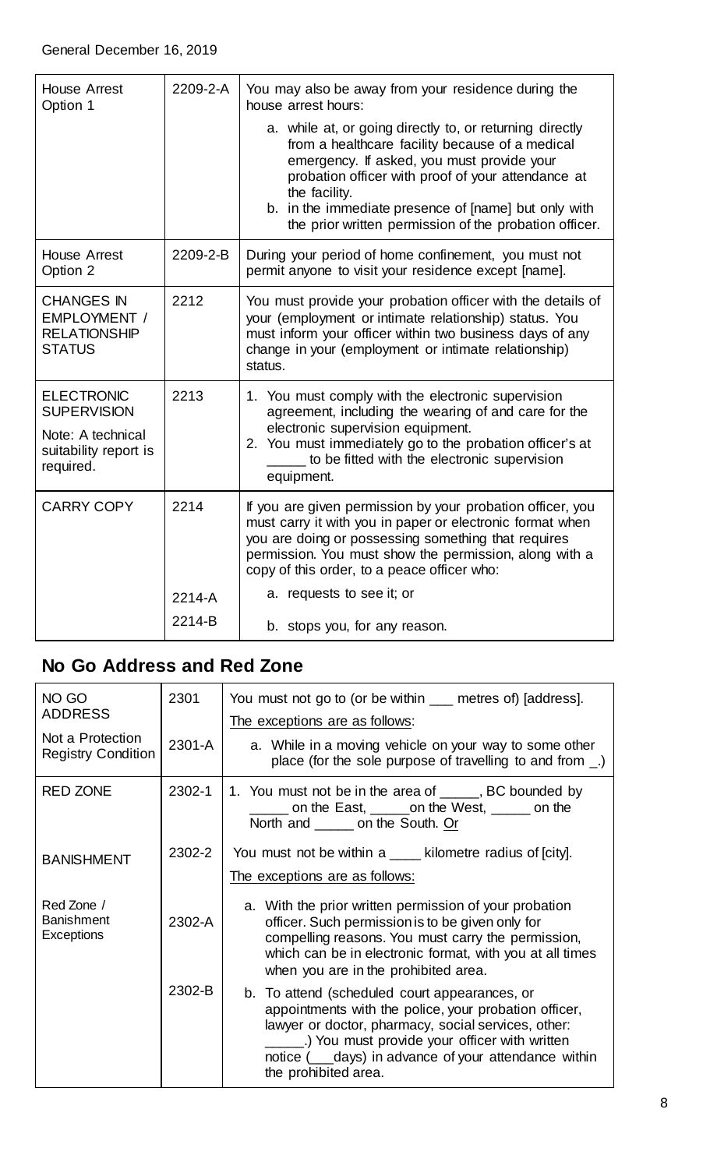| <b>House Arrest</b><br>Option 1                                                                    | 2209-2-A | You may also be away from your residence during the<br>house arrest hours:                                                                                                                                                                                                                                                                         |
|----------------------------------------------------------------------------------------------------|----------|----------------------------------------------------------------------------------------------------------------------------------------------------------------------------------------------------------------------------------------------------------------------------------------------------------------------------------------------------|
|                                                                                                    |          | a. while at, or going directly to, or returning directly<br>from a healthcare facility because of a medical<br>emergency. If asked, you must provide your<br>probation officer with proof of your attendance at<br>the facility.<br>b. in the immediate presence of [name] but only with<br>the prior written permission of the probation officer. |
| <b>House Arrest</b><br>Option 2                                                                    | 2209-2-B | During your period of home confinement, you must not<br>permit anyone to visit your residence except [name].                                                                                                                                                                                                                                       |
| <b>CHANGES IN</b><br>EMPLOYMENT /<br><b>RELATIONSHIP</b><br><b>STATUS</b>                          | 2212     | You must provide your probation officer with the details of<br>your (employment or intimate relationship) status. You<br>must inform your officer within two business days of any<br>change in your (employment or intimate relationship)<br>status.                                                                                               |
| <b>ELECTRONIC</b><br><b>SUPERVISION</b><br>Note: A technical<br>suitability report is<br>required. | 2213     | 1. You must comply with the electronic supervision<br>agreement, including the wearing of and care for the<br>electronic supervision equipment.<br>2. You must immediately go to the probation officer's at<br>to be fitted with the electronic supervision<br>equipment.                                                                          |
| <b>CARRY COPY</b>                                                                                  | 2214     | If you are given permission by your probation officer, you<br>must carry it with you in paper or electronic format when<br>you are doing or possessing something that requires<br>permission. You must show the permission, along with a<br>copy of this order, to a peace officer who:                                                            |
|                                                                                                    | 2214-A   | a. requests to see it; or                                                                                                                                                                                                                                                                                                                          |
|                                                                                                    | 2214-B   | b. stops you, for any reason.                                                                                                                                                                                                                                                                                                                      |

### <span id="page-7-0"></span>**No Go Address and Red Zone**

| NO GO<br><b>ADDRESS</b><br>Not a Protection<br><b>Registry Condition</b> | 2301<br>2301-A | You must not go to (or be within ___ metres of) [address].<br>The exceptions are as follows:<br>a. While in a moving vehicle on your way to some other<br>place (for the sole purpose of travelling to and from _.)                                                                                     |
|--------------------------------------------------------------------------|----------------|---------------------------------------------------------------------------------------------------------------------------------------------------------------------------------------------------------------------------------------------------------------------------------------------------------|
| <b>RED ZONE</b>                                                          | 2302-1         | 1. You must not be in the area of _____, BC bounded by<br>on the East, <u>eigen</u> on the West, <u>eigenvectors</u> on the<br>North and _______ on the South. Or                                                                                                                                       |
| <b>BANISHMENT</b>                                                        | 2302-2         | You must not be within a ____ kilometre radius of [city].<br>The exceptions are as follows:                                                                                                                                                                                                             |
| Red Zone /<br><b>Banishment</b><br>Exceptions                            | 2302-A         | a. With the prior written permission of your probation<br>officer. Such permission is to be given only for<br>compelling reasons. You must carry the permission,<br>which can be in electronic format, with you at all times<br>when you are in the prohibited area.                                    |
|                                                                          | 2302-B         | b. To attend (scheduled court appearances, or<br>appointments with the police, your probation officer,<br>lawyer or doctor, pharmacy, social services, other:<br>_______) You must provide your officer with written<br>notice ( ___ days) in advance of your attendance within<br>the prohibited area. |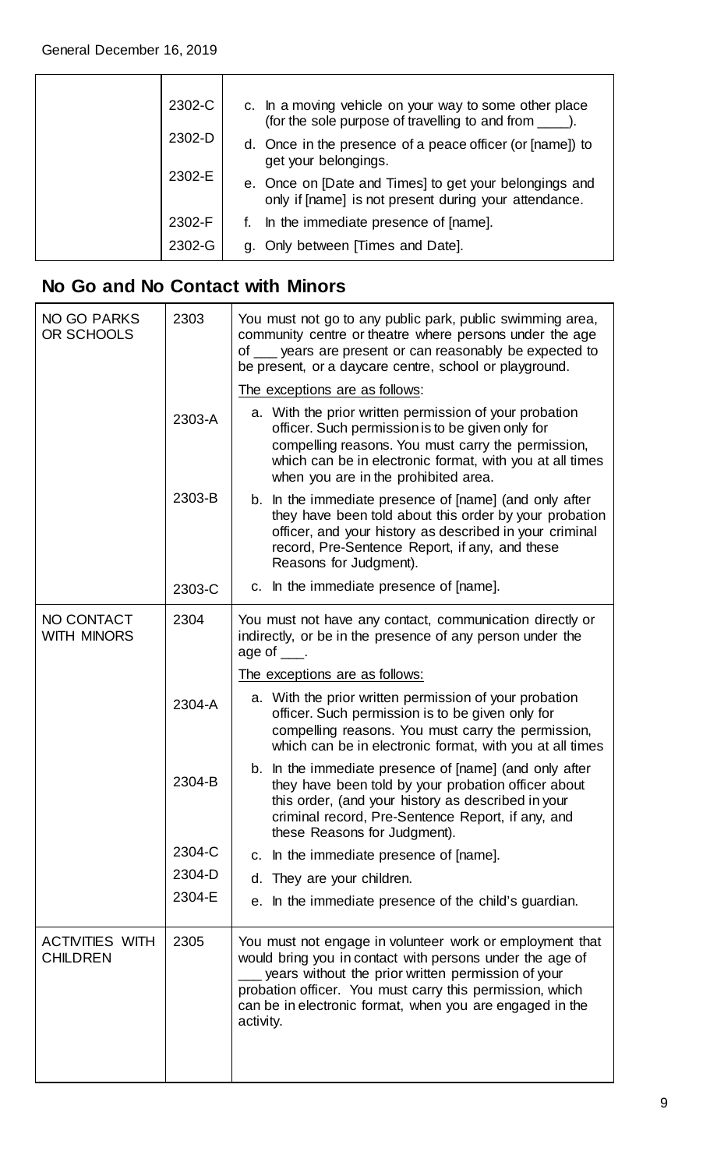|        | 2302-C<br>2302-D                                                                                                | c. In a moving vehicle on your way to some other place<br>(for the sole purpose of travelling to and from |
|--------|-----------------------------------------------------------------------------------------------------------------|-----------------------------------------------------------------------------------------------------------|
|        |                                                                                                                 | d. Once in the presence of a peace officer (or [name]) to<br>get your belongings.                         |
| 2302-E | e. Once on [Date and Times] to get your belongings and<br>only if [name] is not present during your attendance. |                                                                                                           |
|        | 2302-F                                                                                                          | In the immediate presence of [name].                                                                      |
|        | 2302-G                                                                                                          | g. Only between [Times and Date].                                                                         |

### <span id="page-8-0"></span>**No Go and No Contact with Minors**

| <b>NO GO PARKS</b><br>OR SCHOOLS          | 2303   | You must not go to any public park, public swimming area,<br>community centre or theatre where persons under the age<br>of ___ years are present or can reasonably be expected to<br>be present, or a daycare centre, school or playground.                                                                     |
|-------------------------------------------|--------|-----------------------------------------------------------------------------------------------------------------------------------------------------------------------------------------------------------------------------------------------------------------------------------------------------------------|
|                                           |        | The exceptions are as follows:                                                                                                                                                                                                                                                                                  |
|                                           | 2303-A | a. With the prior written permission of your probation<br>officer. Such permission is to be given only for<br>compelling reasons. You must carry the permission,<br>which can be in electronic format, with you at all times<br>when you are in the prohibited area.                                            |
|                                           | 2303-B | b. In the immediate presence of [name] (and only after<br>they have been told about this order by your probation<br>officer, and your history as described in your criminal<br>record, Pre-Sentence Report, if any, and these<br>Reasons for Judgment).                                                         |
|                                           | 2303-C | c. In the immediate presence of [name].                                                                                                                                                                                                                                                                         |
| NO CONTACT<br><b>WITH MINORS</b>          | 2304   | You must not have any contact, communication directly or<br>indirectly, or be in the presence of any person under the<br>age of $\_\_\$ .                                                                                                                                                                       |
|                                           |        | The exceptions are as follows:                                                                                                                                                                                                                                                                                  |
|                                           | 2304-A | a. With the prior written permission of your probation<br>officer. Such permission is to be given only for<br>compelling reasons. You must carry the permission,<br>which can be in electronic format, with you at all times                                                                                    |
|                                           | 2304-B | b. In the immediate presence of [name] (and only after<br>they have been told by your probation officer about<br>this order, (and your history as described in your<br>criminal record, Pre-Sentence Report, if any, and<br>these Reasons for Judgment).                                                        |
|                                           | 2304-C | In the immediate presence of [name].<br>C.                                                                                                                                                                                                                                                                      |
|                                           | 2304-D | d. They are your children.                                                                                                                                                                                                                                                                                      |
|                                           | 2304-E | In the immediate presence of the child's guardian.<br>е.                                                                                                                                                                                                                                                        |
| <b>ACTIVITIES WITH</b><br><b>CHILDREN</b> | 2305   | You must not engage in volunteer work or employment that<br>would bring you in contact with persons under the age of<br>years without the prior written permission of your<br>probation officer. You must carry this permission, which<br>can be in electronic format, when you are engaged in the<br>activity. |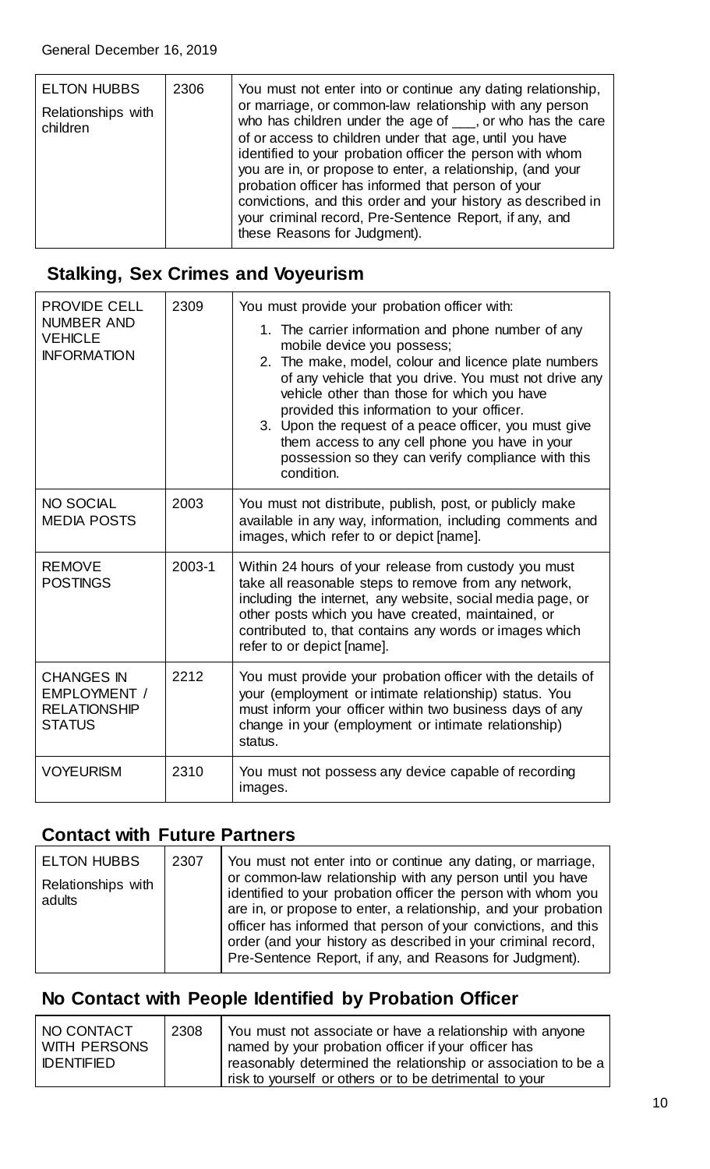### <span id="page-9-0"></span>**Stalking, Sex Crimes and Voyeurism**

| <b>PROVIDE CELL</b>                                                       | 2309   | You must provide your probation officer with:                                                                                                                                                                                                                                                                                                                                                                                                                                 |
|---------------------------------------------------------------------------|--------|-------------------------------------------------------------------------------------------------------------------------------------------------------------------------------------------------------------------------------------------------------------------------------------------------------------------------------------------------------------------------------------------------------------------------------------------------------------------------------|
| <b>NUMBER AND</b><br><b>VEHICLE</b><br><b>INFORMATION</b>                 |        | 1. The carrier information and phone number of any<br>mobile device you possess;<br>2. The make, model, colour and licence plate numbers<br>of any vehicle that you drive. You must not drive any<br>vehicle other than those for which you have<br>provided this information to your officer.<br>3. Upon the request of a peace officer, you must give<br>them access to any cell phone you have in your<br>possession so they can verify compliance with this<br>condition. |
| <b>NO SOCIAL</b><br><b>MEDIA POSTS</b>                                    | 2003   | You must not distribute, publish, post, or publicly make<br>available in any way, information, including comments and<br>images, which refer to or depict [name].                                                                                                                                                                                                                                                                                                             |
| <b>REMOVE</b><br><b>POSTINGS</b>                                          | 2003-1 | Within 24 hours of your release from custody you must<br>take all reasonable steps to remove from any network,<br>including the internet, any website, social media page, or<br>other posts which you have created, maintained, or<br>contributed to, that contains any words or images which<br>refer to or depict [name].                                                                                                                                                   |
| <b>CHANGES IN</b><br>EMPLOYMENT /<br><b>RELATIONSHIP</b><br><b>STATUS</b> | 2212   | You must provide your probation officer with the details of<br>your (employment or intimate relationship) status. You<br>must inform your officer within two business days of any<br>change in your (employment or intimate relationship)<br>status.                                                                                                                                                                                                                          |
| <b>VOYEURISM</b>                                                          | 2310   | You must not possess any device capable of recording<br>images.                                                                                                                                                                                                                                                                                                                                                                                                               |

#### <span id="page-9-1"></span>**Contact with Future Partners**

| <b>ELTON HUBBS</b>           | 2307 | You must not enter into or continue any dating, or marriage,                                                                                                                                                                                                                                                                                                                                |
|------------------------------|------|---------------------------------------------------------------------------------------------------------------------------------------------------------------------------------------------------------------------------------------------------------------------------------------------------------------------------------------------------------------------------------------------|
| Relationships with<br>adults |      | or common-law relationship with any person until you have<br>identified to your probation officer the person with whom you<br>are in, or propose to enter, a relationship, and your probation<br>officer has informed that person of your convictions, and this<br>order (and your history as described in your criminal record,<br>Pre-Sentence Report, if any, and Reasons for Judgment). |

### <span id="page-9-2"></span>**No Contact with People Identified by Probation Officer**

| NO CONTACT<br>WITH PERSONS | 2308 | You must not associate or have a relationship with anyone<br>named by your probation officer if your officer has         |
|----------------------------|------|--------------------------------------------------------------------------------------------------------------------------|
| <b>IDENTIFIED</b>          |      | reasonably determined the relationship or association to be a<br>risk to yourself or others or to be detrimental to your |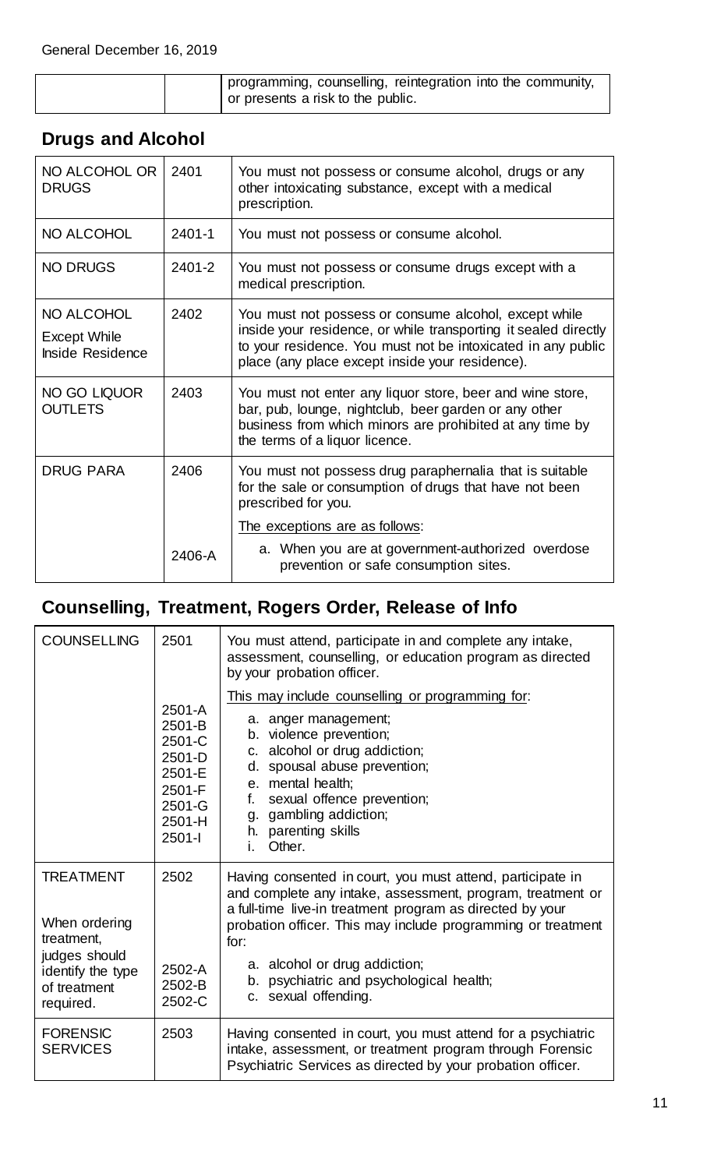| programming, counselling, reintegration into the community, |
|-------------------------------------------------------------|
| or presents a risk to the public.                           |

| NO ALCOHOL OR<br><b>DRUGS</b>                                | 2401       | You must not possess or consume alcohol, drugs or any<br>other intoxicating substance, except with a medical<br>prescription.                                                                                                               |
|--------------------------------------------------------------|------------|---------------------------------------------------------------------------------------------------------------------------------------------------------------------------------------------------------------------------------------------|
| NO ALCOHOL                                                   | $2401 - 1$ | You must not possess or consume alcohol.                                                                                                                                                                                                    |
| <b>NO DRUGS</b>                                              | 2401-2     | You must not possess or consume drugs except with a<br>medical prescription.                                                                                                                                                                |
| NO ALCOHOL<br><b>Except While</b><br><b>Inside Residence</b> | 2402       | You must not possess or consume alcohol, except while<br>inside your residence, or while transporting it sealed directly<br>to your residence. You must not be intoxicated in any public<br>place (any place except inside your residence). |
| NO GO LIQUOR<br><b>OUTLETS</b>                               | 2403       | You must not enter any liquor store, beer and wine store,<br>bar, pub, lounge, nightclub, beer garden or any other<br>business from which minors are prohibited at any time by<br>the terms of a liquor licence.                            |
| <b>DRUG PARA</b>                                             | 2406       | You must not possess drug paraphernalia that is suitable<br>for the sale or consumption of drugs that have not been<br>prescribed for you.                                                                                                  |
|                                                              |            | <u>The exceptions are as follows:</u>                                                                                                                                                                                                       |
|                                                              | 2406-A     | a. When you are at government-authorized overdose<br>prevention or safe consumption sites.                                                                                                                                                  |

### <span id="page-10-0"></span>**Drugs and Alcohol**

# <span id="page-10-1"></span>**Counselling, Treatment, Rogers Order, Release of Info**

| <b>COUNSELLING</b>                                                                                                 | 2501                                                                                             | You must attend, participate in and complete any intake,<br>assessment, counselling, or education program as directed<br>by your probation officer.                                                                                                                                                                                                                |
|--------------------------------------------------------------------------------------------------------------------|--------------------------------------------------------------------------------------------------|--------------------------------------------------------------------------------------------------------------------------------------------------------------------------------------------------------------------------------------------------------------------------------------------------------------------------------------------------------------------|
|                                                                                                                    | $2501 - A$<br>2501-B<br>2501-C<br>2501-D<br>2501-E<br>2501-F<br>2501-G<br>$2501 - H$<br>$2501 -$ | This may include counselling or programming for:<br>a. anger management;<br>b. violence prevention;<br>alcohol or drug addiction;<br>C.<br>spousal abuse prevention;<br>d.<br>e. mental health;<br>sexual offence prevention;<br>f.<br>gambling addiction;<br>g.<br>h. parenting skills<br>Other.<br>L.                                                            |
| <b>TREATMENT</b><br>When ordering<br>treatment,<br>judges should<br>identify the type<br>of treatment<br>required. | 2502<br>2502-A<br>2502-B<br>2502-C                                                               | Having consented in court, you must attend, participate in<br>and complete any intake, assessment, program, treatment or<br>a full-time live-in treatment program as directed by your<br>probation officer. This may include programming or treatment<br>for:<br>a. alcohol or drug addiction;<br>b. psychiatric and psychological health;<br>c. sexual offending. |
| <b>FORENSIC</b><br><b>SERVICES</b>                                                                                 | 2503                                                                                             | Having consented in court, you must attend for a psychiatric<br>intake, assessment, or treatment program through Forensic<br>Psychiatric Services as directed by your probation officer.                                                                                                                                                                           |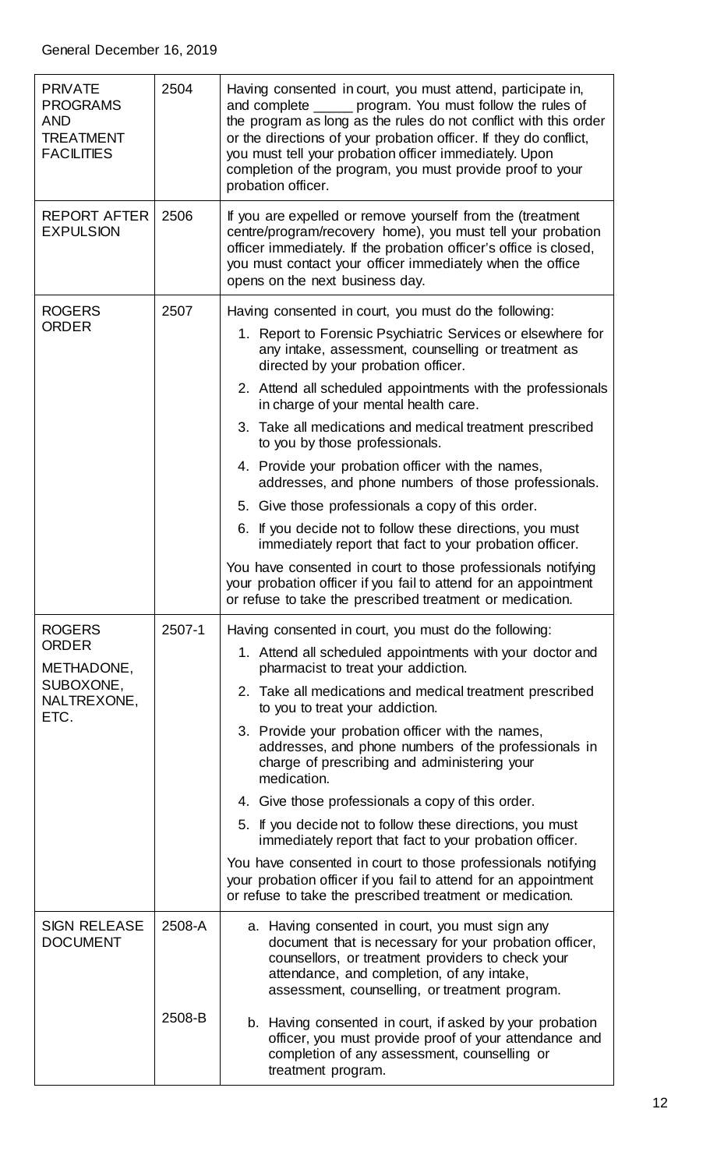| <b>PRIVATE</b><br><b>PROGRAMS</b><br><b>AND</b><br><b>TREATMENT</b><br><b>FACILITIES</b> | 2504   | Having consented in court, you must attend, participate in,<br>and complete _____ program. You must follow the rules of<br>the program as long as the rules do not conflict with this order<br>or the directions of your probation officer. If they do conflict,<br>you must tell your probation officer immediately. Upon<br>completion of the program, you must provide proof to your<br>probation officer. |
|------------------------------------------------------------------------------------------|--------|---------------------------------------------------------------------------------------------------------------------------------------------------------------------------------------------------------------------------------------------------------------------------------------------------------------------------------------------------------------------------------------------------------------|
| <b>REPORT AFTER</b><br><b>EXPULSION</b>                                                  | 2506   | If you are expelled or remove yourself from the (treatment<br>centre/program/recovery home), you must tell your probation<br>officer immediately. If the probation officer's office is closed,<br>you must contact your officer immediately when the office<br>opens on the next business day.                                                                                                                |
| <b>ROGERS</b>                                                                            | 2507   | Having consented in court, you must do the following:                                                                                                                                                                                                                                                                                                                                                         |
| <b>ORDER</b>                                                                             |        | 1. Report to Forensic Psychiatric Services or elsewhere for<br>any intake, assessment, counselling or treatment as<br>directed by your probation officer.                                                                                                                                                                                                                                                     |
|                                                                                          |        | 2. Attend all scheduled appointments with the professionals<br>in charge of your mental health care.                                                                                                                                                                                                                                                                                                          |
|                                                                                          |        | 3. Take all medications and medical treatment prescribed<br>to you by those professionals.                                                                                                                                                                                                                                                                                                                    |
|                                                                                          |        | 4. Provide your probation officer with the names,<br>addresses, and phone numbers of those professionals.                                                                                                                                                                                                                                                                                                     |
|                                                                                          |        | 5. Give those professionals a copy of this order.                                                                                                                                                                                                                                                                                                                                                             |
|                                                                                          |        | 6. If you decide not to follow these directions, you must<br>immediately report that fact to your probation officer.                                                                                                                                                                                                                                                                                          |
|                                                                                          |        | You have consented in court to those professionals notifying<br>your probation officer if you fail to attend for an appointment<br>or refuse to take the prescribed treatment or medication.                                                                                                                                                                                                                  |
| <b>ROGERS</b>                                                                            | 2507-1 | Having consented in court, you must do the following:                                                                                                                                                                                                                                                                                                                                                         |
| <b>ORDER</b><br>METHADONE,<br>SUBOXONE,<br>NALTREXONE,<br>ETC.                           |        | 1. Attend all scheduled appointments with your doctor and<br>pharmacist to treat your addiction.                                                                                                                                                                                                                                                                                                              |
|                                                                                          |        | 2. Take all medications and medical treatment prescribed<br>to you to treat your addiction.                                                                                                                                                                                                                                                                                                                   |
|                                                                                          |        | 3. Provide your probation officer with the names,<br>addresses, and phone numbers of the professionals in<br>charge of prescribing and administering your<br>medication.                                                                                                                                                                                                                                      |
|                                                                                          |        | 4. Give those professionals a copy of this order.                                                                                                                                                                                                                                                                                                                                                             |
|                                                                                          |        | 5. If you decide not to follow these directions, you must<br>immediately report that fact to your probation officer.                                                                                                                                                                                                                                                                                          |
|                                                                                          |        | You have consented in court to those professionals notifying<br>your probation officer if you fail to attend for an appointment<br>or refuse to take the prescribed treatment or medication.                                                                                                                                                                                                                  |
| <b>SIGN RELEASE</b><br><b>DOCUMENT</b>                                                   | 2508-A | a. Having consented in court, you must sign any<br>document that is necessary for your probation officer,<br>counsellors, or treatment providers to check your<br>attendance, and completion, of any intake,<br>assessment, counselling, or treatment program.                                                                                                                                                |
|                                                                                          | 2508-B | b. Having consented in court, if asked by your probation<br>officer, you must provide proof of your attendance and<br>completion of any assessment, counselling or<br>treatment program.                                                                                                                                                                                                                      |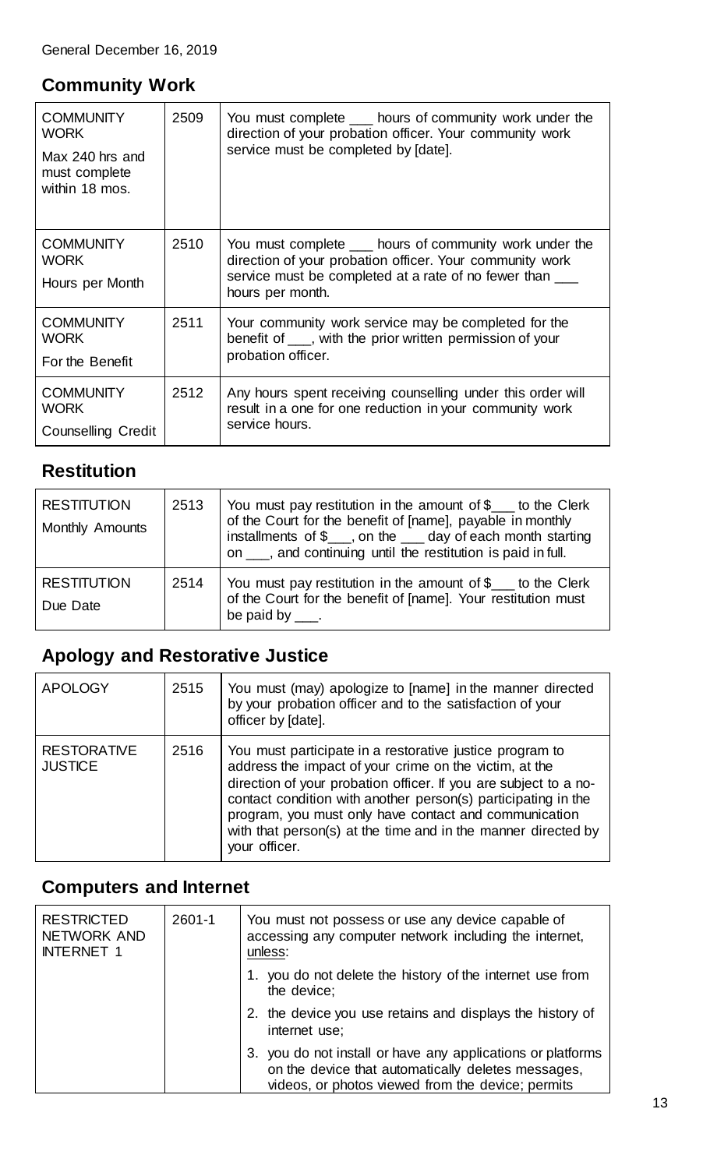#### <span id="page-12-0"></span>**Community Work**

| <b>COMMUNITY</b><br><b>WORK</b><br>Max 240 hrs and<br>must complete<br>within 18 mos. | 2509 | You must complete ___ hours of community work under the<br>direction of your probation officer. Your community work<br>service must be completed by [date].                                          |
|---------------------------------------------------------------------------------------|------|------------------------------------------------------------------------------------------------------------------------------------------------------------------------------------------------------|
| <b>COMMUNITY</b><br><b>WORK</b><br>Hours per Month                                    | 2510 | You must complete ____ hours of community work under the<br>direction of your probation officer. Your community work<br>service must be completed at a rate of no fewer than ___<br>hours per month. |
| <b>COMMUNITY</b><br><b>WORK</b><br>For the Benefit                                    | 2511 | Your community work service may be completed for the<br>benefit of ___, with the prior written permission of your<br>probation officer.                                                              |
| <b>COMMUNITY</b><br><b>WORK</b><br><b>Counselling Credit</b>                          | 2512 | Any hours spent receiving counselling under this order will<br>result in a one for one reduction in your community work<br>service hours.                                                            |

### <span id="page-12-1"></span>**Restitution**

| <b>RESTITUTION</b><br>Monthly Amounts | 2513 | You must pay restitution in the amount of \$___ to the Clerk<br>of the Court for the benefit of [name], payable in monthly<br>installments of \$___, on the ___ day of each month starting<br>on ___, and continuing until the restitution is paid in full. |
|---------------------------------------|------|-------------------------------------------------------------------------------------------------------------------------------------------------------------------------------------------------------------------------------------------------------------|
| <b>RESTITUTION</b><br>Due Date        | 2514 | You must pay restitution in the amount of $\ell_{\text{max}}$ to the Clerk<br>of the Court for the benefit of [name]. Your restitution must<br>be paid by $\frac{1}{1}$ .                                                                                   |

# <span id="page-12-2"></span>**Apology and Restorative Justice**

| <b>APOLOGY</b>                       | 2515 | You must (may) apologize to [name] in the manner directed<br>by your probation officer and to the satisfaction of your<br>officer by [date].                                                                                                                                                                                                                                                       |
|--------------------------------------|------|----------------------------------------------------------------------------------------------------------------------------------------------------------------------------------------------------------------------------------------------------------------------------------------------------------------------------------------------------------------------------------------------------|
| <b>RESTORATIVE</b><br><b>JUSTICE</b> | 2516 | You must participate in a restorative justice program to<br>address the impact of your crime on the victim, at the<br>direction of your probation officer. If you are subject to a no-<br>contact condition with another person(s) participating in the<br>program, you must only have contact and communication<br>with that person(s) at the time and in the manner directed by<br>your officer. |

### <span id="page-12-3"></span>**Computers and Internet**

| <b>RESTRICTED</b><br><b>NETWORK AND</b><br><b>INTERNET 1</b> | $2601 - 1$ | You must not possess or use any device capable of<br>accessing any computer network including the internet,<br>unless:                                              |
|--------------------------------------------------------------|------------|---------------------------------------------------------------------------------------------------------------------------------------------------------------------|
|                                                              |            | you do not delete the history of the internet use from<br>the device;                                                                                               |
|                                                              |            | 2. the device you use retains and displays the history of<br>internet use;                                                                                          |
|                                                              |            | you do not install or have any applications or platforms<br>on the device that automatically deletes messages,<br>videos, or photos viewed from the device; permits |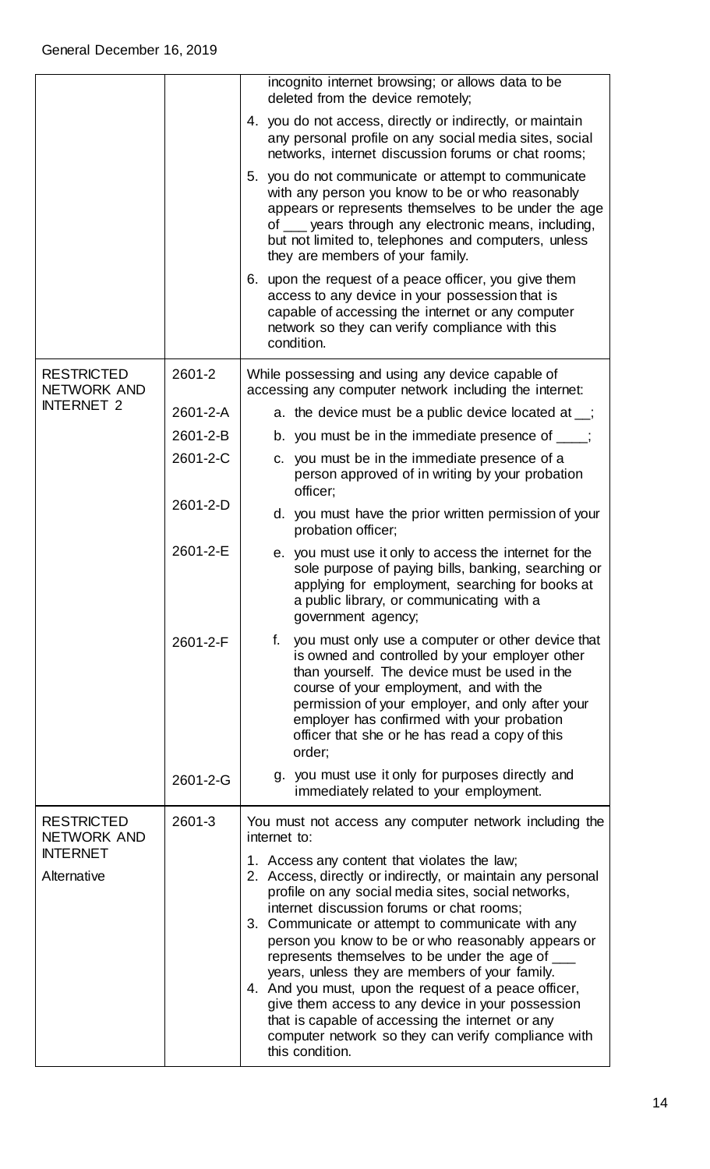|                                  |          | incognito internet browsing; or allows data to be<br>deleted from the device remotely;                                                                                                                                                                                                                                                                                                                                                                                                                                                                                                                                                                                   |
|----------------------------------|----------|--------------------------------------------------------------------------------------------------------------------------------------------------------------------------------------------------------------------------------------------------------------------------------------------------------------------------------------------------------------------------------------------------------------------------------------------------------------------------------------------------------------------------------------------------------------------------------------------------------------------------------------------------------------------------|
|                                  |          | 4. you do not access, directly or indirectly, or maintain<br>any personal profile on any social media sites, social<br>networks, internet discussion forums or chat rooms;                                                                                                                                                                                                                                                                                                                                                                                                                                                                                               |
|                                  |          | 5. you do not communicate or attempt to communicate<br>with any person you know to be or who reasonably<br>appears or represents themselves to be under the age<br>of ___ years through any electronic means, including,<br>but not limited to, telephones and computers, unless<br>they are members of your family.                                                                                                                                                                                                                                                                                                                                                     |
|                                  |          | 6. upon the request of a peace officer, you give them<br>access to any device in your possession that is<br>capable of accessing the internet or any computer<br>network so they can verify compliance with this<br>condition.                                                                                                                                                                                                                                                                                                                                                                                                                                           |
| <b>RESTRICTED</b><br>NETWORK AND | 2601-2   | While possessing and using any device capable of<br>accessing any computer network including the internet:                                                                                                                                                                                                                                                                                                                                                                                                                                                                                                                                                               |
| <b>INTERNET 2</b>                | 2601-2-A | a. the device must be a public device located at $\overline{\phantom{a}}$ ;                                                                                                                                                                                                                                                                                                                                                                                                                                                                                                                                                                                              |
|                                  | 2601-2-B | b. you must be in the immediate presence of $\frac{1}{\sqrt{2}}$ ;                                                                                                                                                                                                                                                                                                                                                                                                                                                                                                                                                                                                       |
|                                  | 2601-2-C | c. you must be in the immediate presence of a<br>person approved of in writing by your probation<br>officer;                                                                                                                                                                                                                                                                                                                                                                                                                                                                                                                                                             |
|                                  | 2601-2-D | d. you must have the prior written permission of your<br>probation officer;                                                                                                                                                                                                                                                                                                                                                                                                                                                                                                                                                                                              |
|                                  | 2601-2-E | e. you must use it only to access the internet for the<br>sole purpose of paying bills, banking, searching or<br>applying for employment, searching for books at<br>a public library, or communicating with a<br>government agency;                                                                                                                                                                                                                                                                                                                                                                                                                                      |
|                                  | 2601-2-F | you must only use a computer or other device that<br>f.<br>is owned and controlled by your employer other<br>than yourself. The device must be used in the<br>course of your employment, and with the<br>permission of your employer, and only after your<br>employer has confirmed with your probation<br>officer that she or he has read a copy of this<br>order;                                                                                                                                                                                                                                                                                                      |
|                                  | 2601-2-G | g. you must use it only for purposes directly and<br>immediately related to your employment.                                                                                                                                                                                                                                                                                                                                                                                                                                                                                                                                                                             |
| <b>RESTRICTED</b><br>NETWORK AND | 2601-3   | You must not access any computer network including the<br>internet to:                                                                                                                                                                                                                                                                                                                                                                                                                                                                                                                                                                                                   |
| <b>INTERNET</b><br>Alternative   |          | 1. Access any content that violates the law;<br>2. Access, directly or indirectly, or maintain any personal<br>profile on any social media sites, social networks,<br>internet discussion forums or chat rooms;<br>3. Communicate or attempt to communicate with any<br>person you know to be or who reasonably appears or<br>represents themselves to be under the age of<br>years, unless they are members of your family.<br>4. And you must, upon the request of a peace officer,<br>give them access to any device in your possession<br>that is capable of accessing the internet or any<br>computer network so they can verify compliance with<br>this condition. |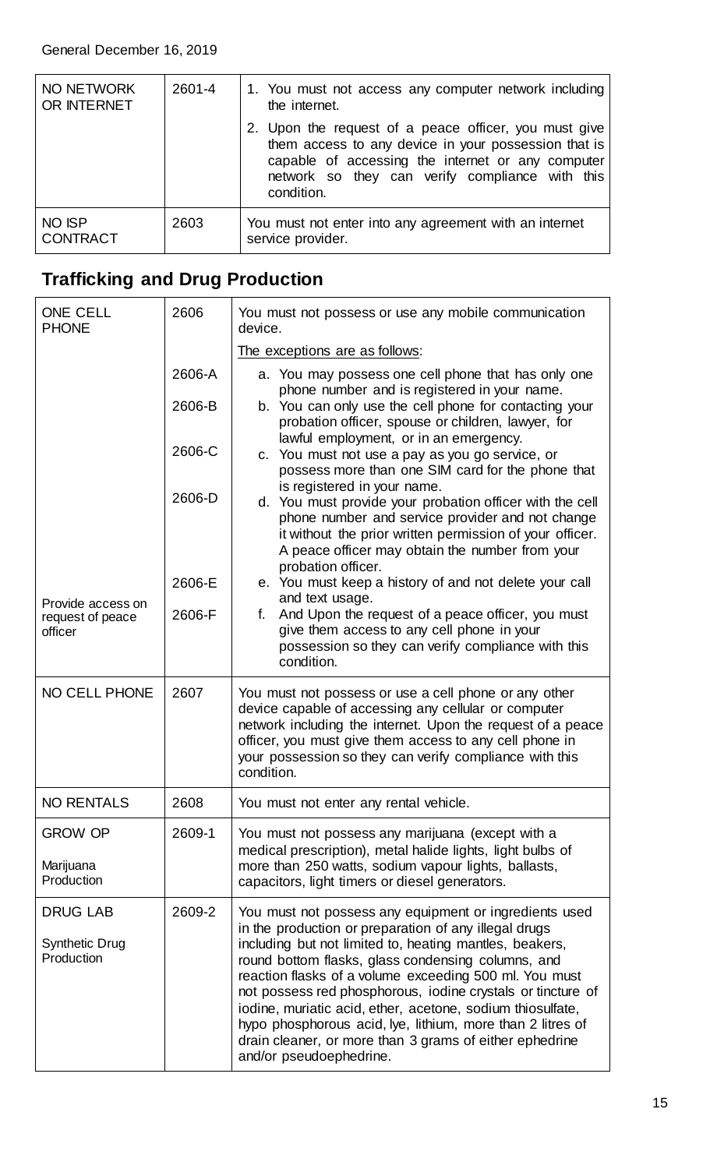| NO NETWORK<br>OR INTERNET        | 2601-4 | 1. You must not access any computer network including<br>the internet.                                                                                                                                                              |
|----------------------------------|--------|-------------------------------------------------------------------------------------------------------------------------------------------------------------------------------------------------------------------------------------|
|                                  |        | 2. Upon the request of a peace officer, you must give<br>them access to any device in your possession that is<br>capable of accessing the internet or any computer<br>network so they can verify compliance with this<br>condition. |
| <b>NO ISP</b><br><b>CONTRACT</b> | 2603   | You must not enter into any agreement with an internet<br>service provider.                                                                                                                                                         |

### <span id="page-14-0"></span>**Trafficking and Drug Production**

| <b>ONE CELL</b><br><b>PHONE</b>                        | 2606   | You must not possess or use any mobile communication<br>device.                                                                                                                                                                                                                                                                                                                                                                                                                                                                                  |
|--------------------------------------------------------|--------|--------------------------------------------------------------------------------------------------------------------------------------------------------------------------------------------------------------------------------------------------------------------------------------------------------------------------------------------------------------------------------------------------------------------------------------------------------------------------------------------------------------------------------------------------|
|                                                        |        | The exceptions are as follows:                                                                                                                                                                                                                                                                                                                                                                                                                                                                                                                   |
|                                                        | 2606-A | a. You may possess one cell phone that has only one<br>phone number and is registered in your name.                                                                                                                                                                                                                                                                                                                                                                                                                                              |
|                                                        | 2606-B | b. You can only use the cell phone for contacting your<br>probation officer, spouse or children, lawyer, for                                                                                                                                                                                                                                                                                                                                                                                                                                     |
|                                                        | 2606-C | lawful employment, or in an emergency.<br>c. You must not use a pay as you go service, or<br>possess more than one SIM card for the phone that                                                                                                                                                                                                                                                                                                                                                                                                   |
|                                                        | 2606-D | is registered in your name.<br>d. You must provide your probation officer with the cell<br>phone number and service provider and not change<br>it without the prior written permission of your officer.<br>A peace officer may obtain the number from your<br>probation officer.                                                                                                                                                                                                                                                                 |
|                                                        | 2606-E | e. You must keep a history of and not delete your call                                                                                                                                                                                                                                                                                                                                                                                                                                                                                           |
| Provide access on<br>request of peace<br>officer       | 2606-F | and text usage.<br>And Upon the request of a peace officer, you must<br>f.<br>give them access to any cell phone in your<br>possession so they can verify compliance with this<br>condition.                                                                                                                                                                                                                                                                                                                                                     |
| <b>NO CELL PHONE</b>                                   | 2607   | You must not possess or use a cell phone or any other<br>device capable of accessing any cellular or computer<br>network including the internet. Upon the request of a peace<br>officer, you must give them access to any cell phone in<br>your possession so they can verify compliance with this<br>condition.                                                                                                                                                                                                                                 |
| <b>NO RENTALS</b>                                      | 2608   | You must not enter any rental vehicle.                                                                                                                                                                                                                                                                                                                                                                                                                                                                                                           |
| <b>GROW OP</b>                                         | 2609-1 | You must not possess any marijuana (except with a<br>medical prescription), metal halide lights, light bulbs of                                                                                                                                                                                                                                                                                                                                                                                                                                  |
| Marijuana<br>Production                                |        | more than 250 watts, sodium vapour lights, ballasts,<br>capacitors, light timers or diesel generators.                                                                                                                                                                                                                                                                                                                                                                                                                                           |
| <b>DRUG LAB</b><br><b>Synthetic Drug</b><br>Production | 2609-2 | You must not possess any equipment or ingredients used<br>in the production or preparation of any illegal drugs<br>including but not limited to, heating mantles, beakers,<br>round bottom flasks, glass condensing columns, and<br>reaction flasks of a volume exceeding 500 ml. You must<br>not possess red phosphorous, iodine crystals or tincture of<br>iodine, muriatic acid, ether, acetone, sodium thiosulfate,<br>hypo phosphorous acid, lye, lithium, more than 2 litres of<br>drain cleaner, or more than 3 grams of either ephedrine |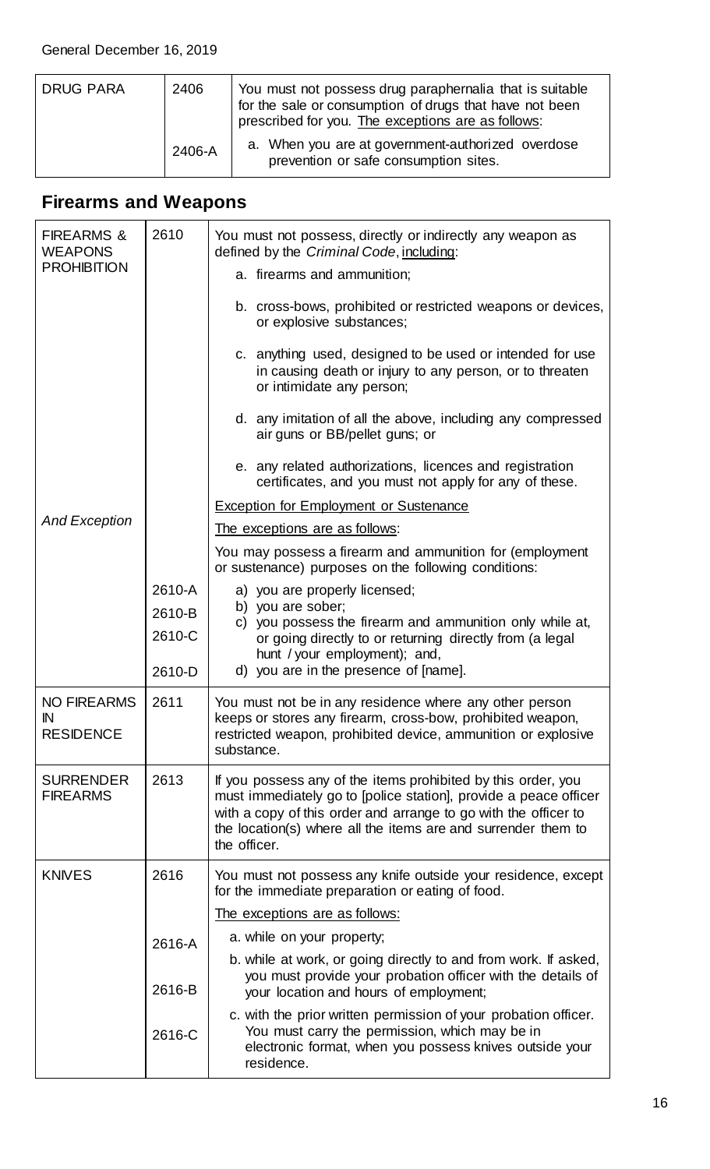| DRUG PARA | 2406   | You must not possess drug paraphernalia that is suitable<br>for the sale or consumption of drugs that have not been<br>prescribed for you. The exceptions are as follows: |
|-----------|--------|---------------------------------------------------------------------------------------------------------------------------------------------------------------------------|
|           | 2406-A | a. When you are at government-authorized overdose<br>prevention or safe consumption sites.                                                                                |

# <span id="page-15-0"></span>**Firearms and Weapons**

| <b>FIREARMS &amp;</b><br><b>WEAPONS</b>      | 2610   | You must not possess, directly or indirectly any weapon as<br>defined by the Criminal Code, including:                                                                                                                                                                                |
|----------------------------------------------|--------|---------------------------------------------------------------------------------------------------------------------------------------------------------------------------------------------------------------------------------------------------------------------------------------|
| <b>PROHIBITION</b>                           |        | a. firearms and ammunition;                                                                                                                                                                                                                                                           |
|                                              |        | b. cross-bows, prohibited or restricted weapons or devices,<br>or explosive substances;                                                                                                                                                                                               |
|                                              |        | c. anything used, designed to be used or intended for use<br>in causing death or injury to any person, or to threaten<br>or intimidate any person;                                                                                                                                    |
|                                              |        | d. any imitation of all the above, including any compressed<br>air guns or BB/pellet guns; or                                                                                                                                                                                         |
|                                              |        | e. any related authorizations, licences and registration<br>certificates, and you must not apply for any of these.                                                                                                                                                                    |
|                                              |        | <b>Exception for Employment or Sustenance</b>                                                                                                                                                                                                                                         |
| <b>And Exception</b>                         |        | The exceptions are as follows:                                                                                                                                                                                                                                                        |
|                                              |        | You may possess a firearm and ammunition for (employment<br>or sustenance) purposes on the following conditions:                                                                                                                                                                      |
|                                              | 2610-A | a) you are properly licensed;                                                                                                                                                                                                                                                         |
|                                              | 2610-B | b) you are sober;<br>c) you possess the firearm and ammunition only while at,                                                                                                                                                                                                         |
|                                              | 2610-C | or going directly to or returning directly from (a legal<br>hunt / your employment); and,                                                                                                                                                                                             |
|                                              | 2610-D | d) you are in the presence of [name].                                                                                                                                                                                                                                                 |
| <b>NO FIREARMS</b><br>IN<br><b>RESIDENCE</b> | 2611   | You must not be in any residence where any other person<br>keeps or stores any firearm, cross-bow, prohibited weapon,<br>restricted weapon, prohibited device, ammunition or explosive<br>substance.                                                                                  |
| <b>SURRENDER</b><br><b>FIREARMS</b>          | 2613   | If you possess any of the items prohibited by this order, you<br>must immediately go to [police station], provide a peace officer<br>with a copy of this order and arrange to go with the officer to<br>the location(s) where all the items are and surrender them to<br>the officer. |
| <b>KNIVES</b>                                | 2616   | You must not possess any knife outside your residence, except<br>for the immediate preparation or eating of food.                                                                                                                                                                     |
|                                              |        | The exceptions are as follows:                                                                                                                                                                                                                                                        |
|                                              | 2616-A | a. while on your property;                                                                                                                                                                                                                                                            |
|                                              | 2616-B | b. while at work, or going directly to and from work. If asked,<br>you must provide your probation officer with the details of<br>your location and hours of employment;                                                                                                              |
|                                              | 2616-C | c. with the prior written permission of your probation officer.<br>You must carry the permission, which may be in<br>electronic format, when you possess knives outside your<br>residence.                                                                                            |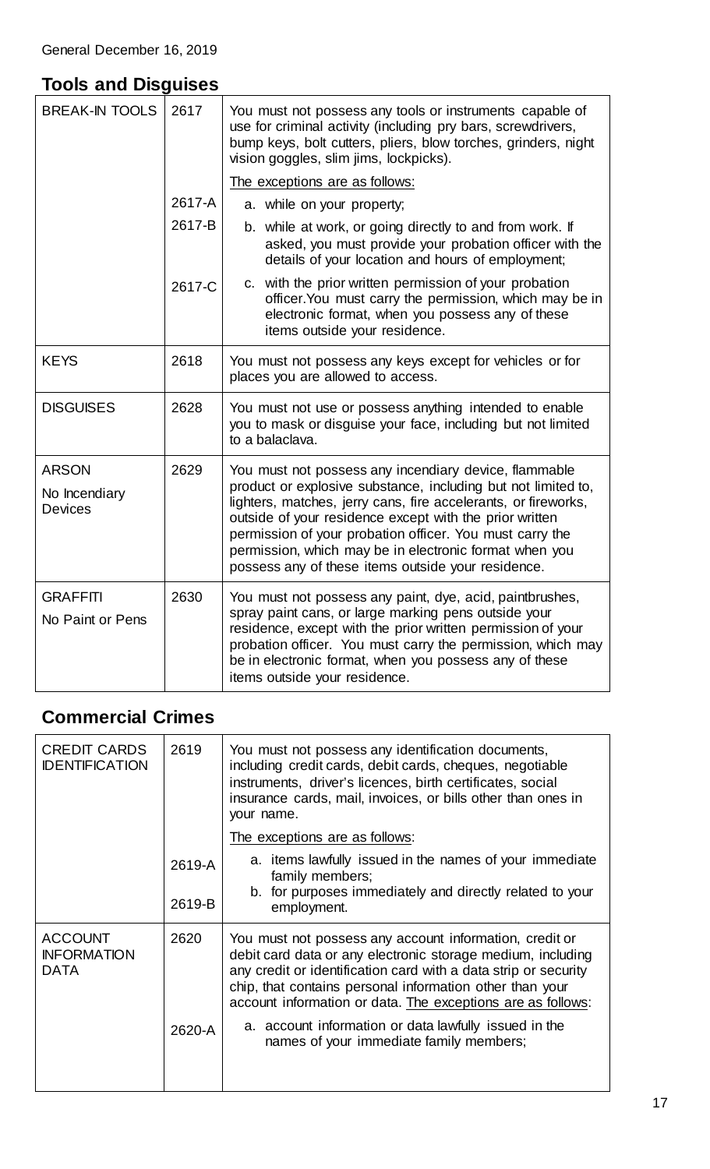### <span id="page-16-0"></span>**Tools and Disguises**

| <b>BREAK-IN TOOLS</b>                           | 2617             | You must not possess any tools or instruments capable of<br>use for criminal activity (including pry bars, screwdrivers,<br>bump keys, bolt cutters, pliers, blow torches, grinders, night<br>vision goggles, slim jims, lockpicks).                                                                                                                                                                                            |
|-------------------------------------------------|------------------|---------------------------------------------------------------------------------------------------------------------------------------------------------------------------------------------------------------------------------------------------------------------------------------------------------------------------------------------------------------------------------------------------------------------------------|
|                                                 | 2617-A<br>2617-B | The exceptions are as follows:<br>a. while on your property;<br>b. while at work, or going directly to and from work. If                                                                                                                                                                                                                                                                                                        |
|                                                 | 2617-C           | asked, you must provide your probation officer with the<br>details of your location and hours of employment;<br>c. with the prior written permission of your probation<br>officer. You must carry the permission, which may be in<br>electronic format, when you possess any of these<br>items outside your residence.                                                                                                          |
| <b>KEYS</b>                                     | 2618             | You must not possess any keys except for vehicles or for<br>places you are allowed to access.                                                                                                                                                                                                                                                                                                                                   |
| <b>DISGUISES</b>                                | 2628             | You must not use or possess anything intended to enable<br>you to mask or disguise your face, including but not limited<br>to a balaclava.                                                                                                                                                                                                                                                                                      |
| <b>ARSON</b><br>No Incendiary<br><b>Devices</b> | 2629             | You must not possess any incendiary device, flammable<br>product or explosive substance, including but not limited to,<br>lighters, matches, jerry cans, fire accelerants, or fireworks,<br>outside of your residence except with the prior written<br>permission of your probation officer. You must carry the<br>permission, which may be in electronic format when you<br>possess any of these items outside your residence. |
| <b>GRAFFITI</b><br>No Paint or Pens             | 2630             | You must not possess any paint, dye, acid, paintbrushes,<br>spray paint cans, or large marking pens outside your<br>residence, except with the prior written permission of your<br>probation officer. You must carry the permission, which may<br>be in electronic format, when you possess any of these<br>items outside your residence.                                                                                       |

### <span id="page-16-1"></span>**Commercial Crimes**

| <b>CREDIT CARDS</b><br><b>IDENTIFICATION</b>        | 2619   | You must not possess any identification documents,<br>including credit cards, debit cards, cheques, negotiable<br>instruments, driver's licences, birth certificates, social<br>insurance cards, mail, invoices, or bills other than ones in<br>your name.                                                           |
|-----------------------------------------------------|--------|----------------------------------------------------------------------------------------------------------------------------------------------------------------------------------------------------------------------------------------------------------------------------------------------------------------------|
|                                                     |        | The exceptions are as follows:                                                                                                                                                                                                                                                                                       |
|                                                     | 2619-A | a. items lawfully issued in the names of your immediate<br>family members;                                                                                                                                                                                                                                           |
|                                                     | 2619-B | b. for purposes immediately and directly related to your<br>employment.                                                                                                                                                                                                                                              |
| <b>ACCOUNT</b><br><b>INFORMATION</b><br><b>DATA</b> | 2620   | You must not possess any account information, credit or<br>debit card data or any electronic storage medium, including<br>any credit or identification card with a data strip or security<br>chip, that contains personal information other than your<br>account information or data. The exceptions are as follows: |
|                                                     | 2620-A | a. account information or data lawfully issued in the<br>names of your immediate family members;                                                                                                                                                                                                                     |
|                                                     |        |                                                                                                                                                                                                                                                                                                                      |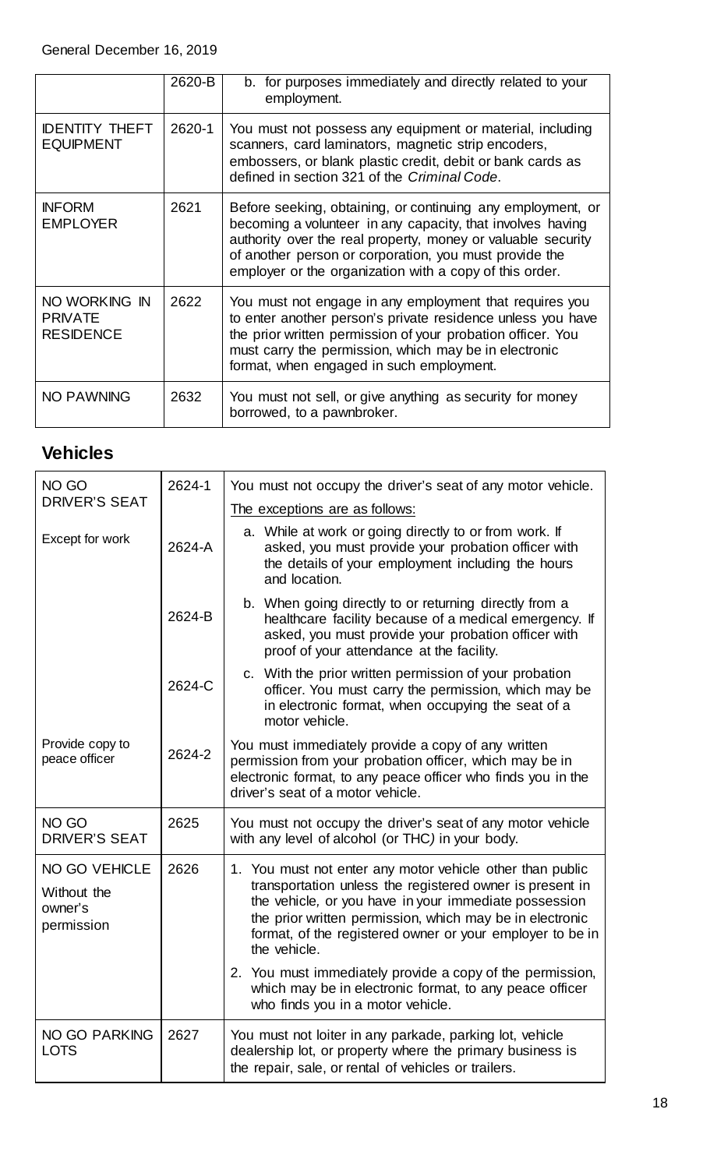|                                                     | 2620-B | b. for purposes immediately and directly related to your<br>employment.                                                                                                                                                                                                                                        |
|-----------------------------------------------------|--------|----------------------------------------------------------------------------------------------------------------------------------------------------------------------------------------------------------------------------------------------------------------------------------------------------------------|
| <b>IDENTITY THEFT</b><br><b>EQUIPMENT</b>           | 2620-1 | You must not possess any equipment or material, including<br>scanners, card laminators, magnetic strip encoders,<br>embossers, or blank plastic credit, debit or bank cards as<br>defined in section 321 of the Criminal Code.                                                                                 |
| <b>INFORM</b><br><b>EMPLOYER</b>                    | 2621   | Before seeking, obtaining, or continuing any employment, or<br>becoming a volunteer in any capacity, that involves having<br>authority over the real property, money or valuable security<br>of another person or corporation, you must provide the<br>employer or the organization with a copy of this order. |
| NO WORKING IN<br><b>PRIVATE</b><br><b>RESIDENCE</b> | 2622   | You must not engage in any employment that requires you<br>to enter another person's private residence unless you have<br>the prior written permission of your probation officer. You<br>must carry the permission, which may be in electronic<br>format, when engaged in such employment.                     |
| <b>NO PAWNING</b>                                   | 2632   | You must not sell, or give anything as security for money<br>borrowed, to a pawnbroker.                                                                                                                                                                                                                        |

#### <span id="page-17-0"></span>**Vehicles**

| NO GO                                                        | 2624-1 | You must not occupy the driver's seat of any motor vehicle.                                                                                                                                                                                                                                                                                                                                                                                     |
|--------------------------------------------------------------|--------|-------------------------------------------------------------------------------------------------------------------------------------------------------------------------------------------------------------------------------------------------------------------------------------------------------------------------------------------------------------------------------------------------------------------------------------------------|
| <b>DRIVER'S SEAT</b>                                         |        | The exceptions are as follows:                                                                                                                                                                                                                                                                                                                                                                                                                  |
| Except for work                                              | 2624-A | a. While at work or going directly to or from work. If<br>asked, you must provide your probation officer with<br>the details of your employment including the hours<br>and location.                                                                                                                                                                                                                                                            |
|                                                              | 2624-B | b. When going directly to or returning directly from a<br>healthcare facility because of a medical emergency. If<br>asked, you must provide your probation officer with<br>proof of your attendance at the facility.                                                                                                                                                                                                                            |
|                                                              | 2624-C | c. With the prior written permission of your probation<br>officer. You must carry the permission, which may be<br>in electronic format, when occupying the seat of a<br>motor vehicle.                                                                                                                                                                                                                                                          |
| Provide copy to<br>peace officer                             | 2624-2 | You must immediately provide a copy of any written<br>permission from your probation officer, which may be in<br>electronic format, to any peace officer who finds you in the<br>driver's seat of a motor vehicle.                                                                                                                                                                                                                              |
| NO GO<br><b>DRIVER'S SEAT</b>                                | 2625   | You must not occupy the driver's seat of any motor vehicle<br>with any level of alcohol (or THC) in your body.                                                                                                                                                                                                                                                                                                                                  |
| <b>NO GO VEHICLE</b><br>Without the<br>owner's<br>permission | 2626   | 1. You must not enter any motor vehicle other than public<br>transportation unless the registered owner is present in<br>the vehicle, or you have in your immediate possession<br>the prior written permission, which may be in electronic<br>format, of the registered owner or your employer to be in<br>the vehicle.<br>2. You must immediately provide a copy of the permission,<br>which may be in electronic format, to any peace officer |
|                                                              |        | who finds you in a motor vehicle.                                                                                                                                                                                                                                                                                                                                                                                                               |
| <b>NO GO PARKING</b><br>LOTS                                 | 2627   | You must not loiter in any parkade, parking lot, vehicle<br>dealership lot, or property where the primary business is<br>the repair, sale, or rental of vehicles or trailers.                                                                                                                                                                                                                                                                   |